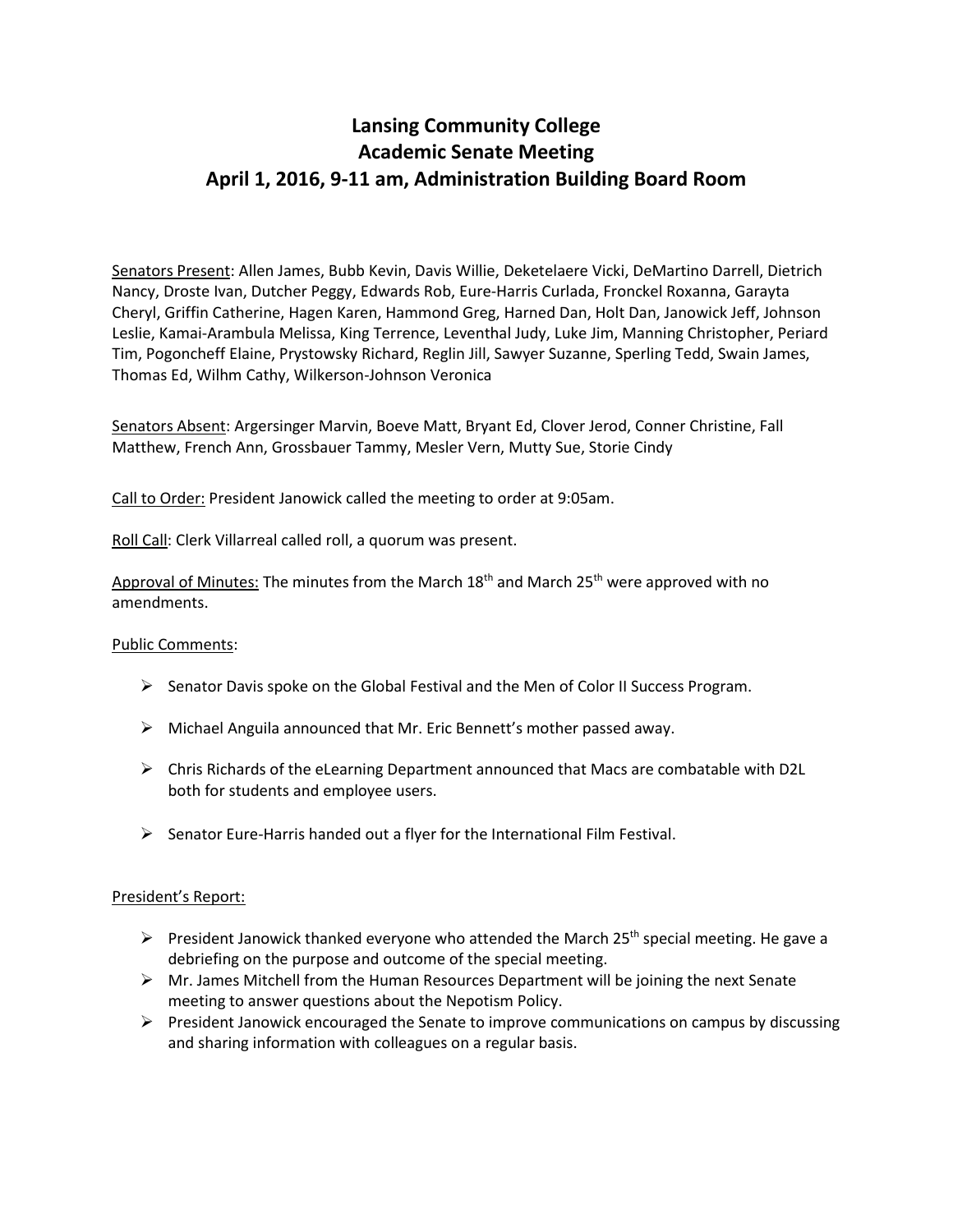# **Lansing Community College Academic Senate Meeting April 1, 2016, 9-11 am, Administration Building Board Room**

Senators Present: Allen James, Bubb Kevin, Davis Willie, Deketelaere Vicki, DeMartino Darrell, Dietrich Nancy, Droste Ivan, Dutcher Peggy, Edwards Rob, Eure-Harris Curlada, Fronckel Roxanna, Garayta Cheryl, Griffin Catherine, Hagen Karen, Hammond Greg, Harned Dan, Holt Dan, Janowick Jeff, Johnson Leslie, Kamai-Arambula Melissa, King Terrence, Leventhal Judy, Luke Jim, Manning Christopher, Periard Tim, Pogoncheff Elaine, Prystowsky Richard, Reglin Jill, Sawyer Suzanne, Sperling Tedd, Swain James, Thomas Ed, Wilhm Cathy, Wilkerson-Johnson Veronica

Senators Absent: Argersinger Marvin, Boeve Matt, Bryant Ed, Clover Jerod, Conner Christine, Fall Matthew, French Ann, Grossbauer Tammy, Mesler Vern, Mutty Sue, Storie Cindy

Call to Order: President Janowick called the meeting to order at 9:05am.

Roll Call: Clerk Villarreal called roll, a quorum was present.

Approval of Minutes: The minutes from the March  $18<sup>th</sup>$  and March  $25<sup>th</sup>$  were approved with no amendments.

#### Public Comments:

- $\triangleright$  Senator Davis spoke on the Global Festival and the Men of Color II Success Program.
- $\triangleright$  Michael Anguila announced that Mr. Eric Bennett's mother passed away.
- $\triangleright$  Chris Richards of the eLearning Department announced that Macs are combatable with D2L both for students and employee users.
- $\triangleright$  Senator Eure-Harris handed out a flyer for the International Film Festival.

#### President's Report:

- President Janowick thanked everyone who attended the March 25<sup>th</sup> special meeting. He gave a debriefing on the purpose and outcome of the special meeting.
- $\triangleright$  Mr. James Mitchell from the Human Resources Department will be joining the next Senate meeting to answer questions about the Nepotism Policy.
- $\triangleright$  President Janowick encouraged the Senate to improve communications on campus by discussing and sharing information with colleagues on a regular basis.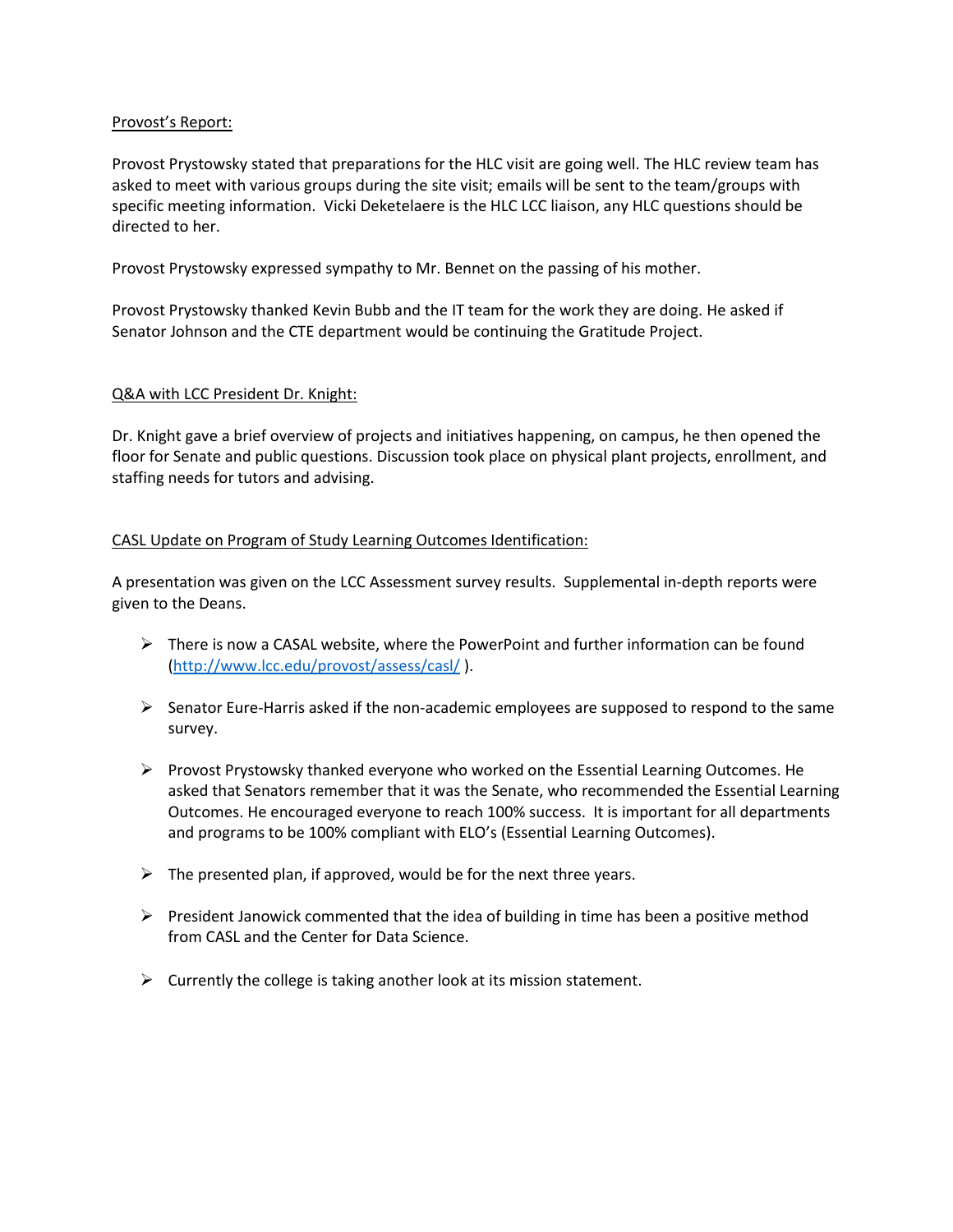# Provost's Report:

Provost Prystowsky stated that preparations for the HLC visit are going well. The HLC review team has asked to meet with various groups during the site visit; emails will be sent to the team/groups with specific meeting information. Vicki Deketelaere is the HLC LCC liaison, any HLC questions should be directed to her.

Provost Prystowsky expressed sympathy to Mr. Bennet on the passing of his mother.

Provost Prystowsky thanked Kevin Bubb and the IT team for the work they are doing. He asked if Senator Johnson and the CTE department would be continuing the Gratitude Project.

## Q&A with LCC President Dr. Knight:

Dr. Knight gave a brief overview of projects and initiatives happening, on campus, he then opened the floor for Senate and public questions. Discussion took place on physical plant projects, enrollment, and staffing needs for tutors and advising.

## CASL Update on Program of Study Learning Outcomes Identification:

A presentation was given on the LCC Assessment survey results. Supplemental in-depth reports were given to the Deans.

- $\triangleright$  There is now a CASAL website, where the PowerPoint and further information can be found [\(http://www.lcc.edu/provost/assess/casl/](http://www.lcc.edu/provost/assess/casl/) ).
- $\triangleright$  Senator Eure-Harris asked if the non-academic employees are supposed to respond to the same survey.
- $\triangleright$  Provost Prystowsky thanked everyone who worked on the Essential Learning Outcomes. He asked that Senators remember that it was the Senate, who recommended the Essential Learning Outcomes. He encouraged everyone to reach 100% success. It is important for all departments and programs to be 100% compliant with ELO's (Essential Learning Outcomes).
- $\triangleright$  The presented plan, if approved, would be for the next three years.
- $\triangleright$  President Janowick commented that the idea of building in time has been a positive method from CASL and the Center for Data Science.
- $\triangleright$  Currently the college is taking another look at its mission statement.